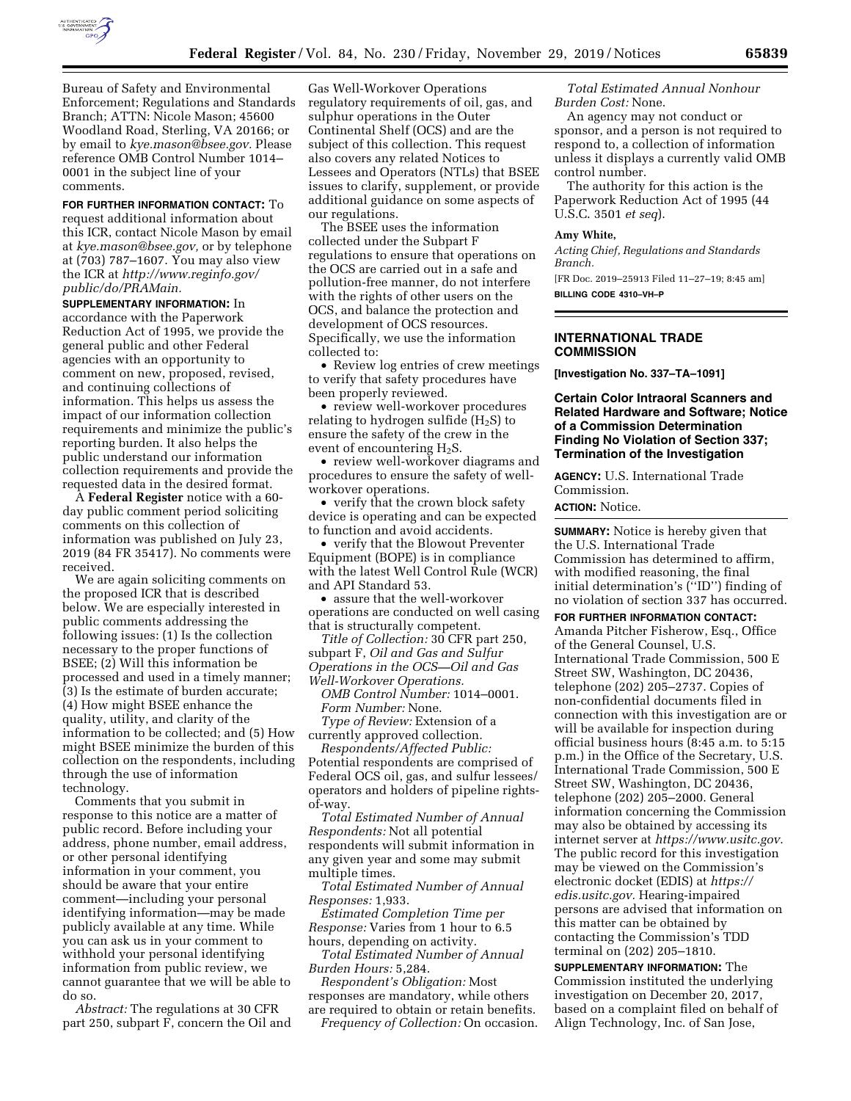

Bureau of Safety and Environmental Enforcement; Regulations and Standards Branch; ATTN: Nicole Mason; 45600 Woodland Road, Sterling, VA 20166; or by email to *[kye.mason@bsee.gov.](mailto:kye.mason@bsee.gov)* Please reference OMB Control Number 1014– 0001 in the subject line of your comments.

#### **FOR FURTHER INFORMATION CONTACT:** To

request additional information about this ICR, contact Nicole Mason by email at *[kye.mason@bsee.gov,](mailto:kye.mason@bsee.gov)* or by telephone at (703) 787–1607. You may also view the ICR at *[http://www.reginfo.gov/](http://www.reginfo.gov/public/do/PRAMain) [public/do/PRAMain.](http://www.reginfo.gov/public/do/PRAMain)* 

**SUPPLEMENTARY INFORMATION:** In accordance with the Paperwork Reduction Act of 1995, we provide the general public and other Federal agencies with an opportunity to comment on new, proposed, revised, and continuing collections of information. This helps us assess the impact of our information collection requirements and minimize the public's reporting burden. It also helps the public understand our information collection requirements and provide the requested data in the desired format.

A **Federal Register** notice with a 60 day public comment period soliciting comments on this collection of information was published on July 23, 2019 (84 FR 35417). No comments were received.

We are again soliciting comments on the proposed ICR that is described below. We are especially interested in public comments addressing the following issues: (1) Is the collection necessary to the proper functions of BSEE; (2) Will this information be processed and used in a timely manner; (3) Is the estimate of burden accurate; (4) How might BSEE enhance the quality, utility, and clarity of the information to be collected; and (5) How might BSEE minimize the burden of this collection on the respondents, including through the use of information technology.

Comments that you submit in response to this notice are a matter of public record. Before including your address, phone number, email address, or other personal identifying information in your comment, you should be aware that your entire comment—including your personal identifying information—may be made publicly available at any time. While you can ask us in your comment to withhold your personal identifying information from public review, we cannot guarantee that we will be able to do so.

*Abstract:* The regulations at 30 CFR part 250, subpart F, concern the Oil and

Gas Well-Workover Operations regulatory requirements of oil, gas, and sulphur operations in the Outer Continental Shelf (OCS) and are the subject of this collection. This request also covers any related Notices to Lessees and Operators (NTLs) that BSEE issues to clarify, supplement, or provide additional guidance on some aspects of our regulations.

The BSEE uses the information collected under the Subpart F regulations to ensure that operations on the OCS are carried out in a safe and pollution-free manner, do not interfere with the rights of other users on the OCS, and balance the protection and development of OCS resources. Specifically, we use the information collected to:

• Review log entries of crew meetings to verify that safety procedures have been properly reviewed.

• review well-workover procedures relating to hydrogen sulfide  $(H_2S)$  to ensure the safety of the crew in the event of encountering H2S.

• review well-workover diagrams and procedures to ensure the safety of wellworkover operations.

• verify that the crown block safety device is operating and can be expected to function and avoid accidents.

• verify that the Blowout Preventer Equipment (BOPE) is in compliance with the latest Well Control Rule (WCR) and API Standard 53.

• assure that the well-workover operations are conducted on well casing that is structurally competent.

*Title of Collection:* 30 CFR part 250, subpart F, *Oil and Gas and Sulfur Operations in the OCS—Oil and Gas Well-Workover Operations.* 

*OMB Control Number:* 1014–0001. *Form Number:* None.

*Type of Review:* Extension of a currently approved collection.

*Respondents/Affected Public:*  Potential respondents are comprised of Federal OCS oil, gas, and sulfur lessees/ operators and holders of pipeline rightsof-way.

*Total Estimated Number of Annual Respondents:* Not all potential respondents will submit information in any given year and some may submit multiple times.

*Total Estimated Number of Annual Responses:* 1,933.

*Estimated Completion Time per Response:* Varies from 1 hour to 6.5 hours, depending on activity.

*Total Estimated Number of Annual Burden Hours:* 5,284.

*Respondent's Obligation:* Most responses are mandatory, while others are required to obtain or retain benefits.

*Frequency of Collection:* On occasion.

*Total Estimated Annual Nonhour Burden Cost:* None.

An agency may not conduct or sponsor, and a person is not required to respond to, a collection of information unless it displays a currently valid OMB control number.

The authority for this action is the Paperwork Reduction Act of 1995 (44 U.S.C. 3501 *et seq*).

## **Amy White,**

*Acting Chief, Regulations and Standards Branch.* 

[FR Doc. 2019–25913 Filed 11–27–19; 8:45 am] **BILLING CODE 4310–VH–P** 

### **INTERNATIONAL TRADE COMMISSION**

**[Investigation No. 337–TA–1091]** 

**Certain Color Intraoral Scanners and Related Hardware and Software; Notice of a Commission Determination Finding No Violation of Section 337; Termination of the Investigation** 

**AGENCY:** U.S. International Trade Commission.

**ACTION:** Notice.

**SUMMARY:** Notice is hereby given that the U.S. International Trade Commission has determined to affirm, with modified reasoning, the final initial determination's (''ID'') finding of no violation of section 337 has occurred.

**FOR FURTHER INFORMATION CONTACT:**  Amanda Pitcher Fisherow, Esq., Office of the General Counsel, U.S. International Trade Commission, 500 E Street SW, Washington, DC 20436, telephone (202) 205–2737. Copies of non-confidential documents filed in connection with this investigation are or will be available for inspection during official business hours (8:45 a.m. to 5:15 p.m.) in the Office of the Secretary, U.S. International Trade Commission, 500 E Street SW, Washington, DC 20436, telephone (202) 205–2000. General information concerning the Commission may also be obtained by accessing its internet server at *[https://www.usitc.gov.](https://www.usitc.gov)*  The public record for this investigation may be viewed on the Commission's electronic docket (EDIS) at *[https://](https://edis.usitc.gov) [edis.usitc.gov.](https://edis.usitc.gov)* Hearing-impaired persons are advised that information on this matter can be obtained by contacting the Commission's TDD terminal on (202) 205–1810.

**SUPPLEMENTARY INFORMATION:** The Commission instituted the underlying investigation on December 20, 2017, based on a complaint filed on behalf of Align Technology, Inc. of San Jose,